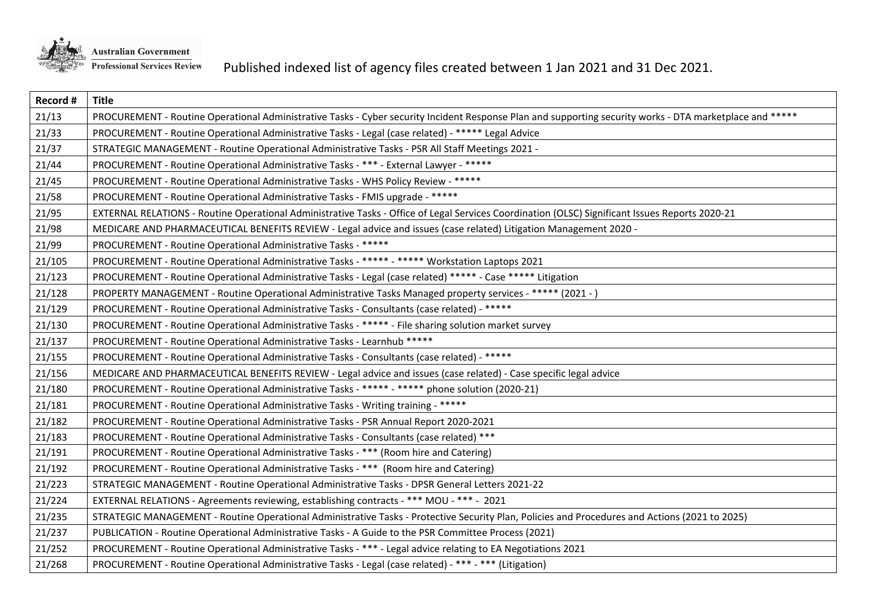

| Record # | <b>Title</b>                                                                                                                                             |
|----------|----------------------------------------------------------------------------------------------------------------------------------------------------------|
| 21/13    | PROCUREMENT - Routine Operational Administrative Tasks - Cyber security Incident Response Plan and supporting security works - DTA marketplace and ***** |
| 21/33    | PROCUREMENT - Routine Operational Administrative Tasks - Legal (case related) - ***** Legal Advice                                                       |
| 21/37    | STRATEGIC MANAGEMENT - Routine Operational Administrative Tasks - PSR All Staff Meetings 2021 -                                                          |
| 21/44    | PROCUREMENT - Routine Operational Administrative Tasks - *** - External Lawyer - *****                                                                   |
| 21/45    | PROCUREMENT - Routine Operational Administrative Tasks - WHS Policy Review - *****                                                                       |
| 21/58    | PROCUREMENT - Routine Operational Administrative Tasks - FMIS upgrade - *****                                                                            |
| 21/95    | EXTERNAL RELATIONS - Routine Operational Administrative Tasks - Office of Legal Services Coordination (OLSC) Significant Issues Reports 2020-21          |
| 21/98    | MEDICARE AND PHARMACEUTICAL BENEFITS REVIEW - Legal advice and issues (case related) Litigation Management 2020 -                                        |
| 21/99    | PROCUREMENT - Routine Operational Administrative Tasks - *****                                                                                           |
| 21/105   | PROCUREMENT - Routine Operational Administrative Tasks - ***** - ***** Workstation Laptops 2021                                                          |
| 21/123   | PROCUREMENT - Routine Operational Administrative Tasks - Legal (case related) ***** - Case ***** Litigation                                              |
| 21/128   | PROPERTY MANAGEMENT - Routine Operational Administrative Tasks Managed property services - ***** (2021 - )                                               |
| 21/129   | PROCUREMENT - Routine Operational Administrative Tasks - Consultants (case related) - *****                                                              |
| 21/130   | PROCUREMENT - Routine Operational Administrative Tasks - ***** - File sharing solution market survey                                                     |
| 21/137   | PROCUREMENT - Routine Operational Administrative Tasks - Learnhub *****                                                                                  |
| 21/155   | PROCUREMENT - Routine Operational Administrative Tasks - Consultants (case related) - *****                                                              |
| 21/156   | MEDICARE AND PHARMACEUTICAL BENEFITS REVIEW - Legal advice and issues (case related) - Case specific legal advice                                        |
| 21/180   | PROCUREMENT - Routine Operational Administrative Tasks - ***** - ***** phone solution (2020-21)                                                          |
| 21/181   | PROCUREMENT - Routine Operational Administrative Tasks - Writing training - *****                                                                        |
| 21/182   | PROCUREMENT - Routine Operational Administrative Tasks - PSR Annual Report 2020-2021                                                                     |
| 21/183   | PROCUREMENT - Routine Operational Administrative Tasks - Consultants (case related) ***                                                                  |
| 21/191   | PROCUREMENT - Routine Operational Administrative Tasks - *** (Room hire and Catering)                                                                    |
| 21/192   | PROCUREMENT - Routine Operational Administrative Tasks - *** (Room hire and Catering)                                                                    |
| 21/223   | STRATEGIC MANAGEMENT - Routine Operational Administrative Tasks - DPSR General Letters 2021-22                                                           |
| 21/224   | EXTERNAL RELATIONS - Agreements reviewing, establishing contracts - *** MOU - *** - 2021                                                                 |
| 21/235   | STRATEGIC MANAGEMENT - Routine Operational Administrative Tasks - Protective Security Plan, Policies and Procedures and Actions (2021 to 2025)           |
| 21/237   | PUBLICATION - Routine Operational Administrative Tasks - A Guide to the PSR Committee Process (2021)                                                     |
| 21/252   | PROCUREMENT - Routine Operational Administrative Tasks - *** - Legal advice relating to EA Negotiations 2021                                             |
| 21/268   | PROCUREMENT - Routine Operational Administrative Tasks - Legal (case related) - *** - *** (Litigation)                                                   |